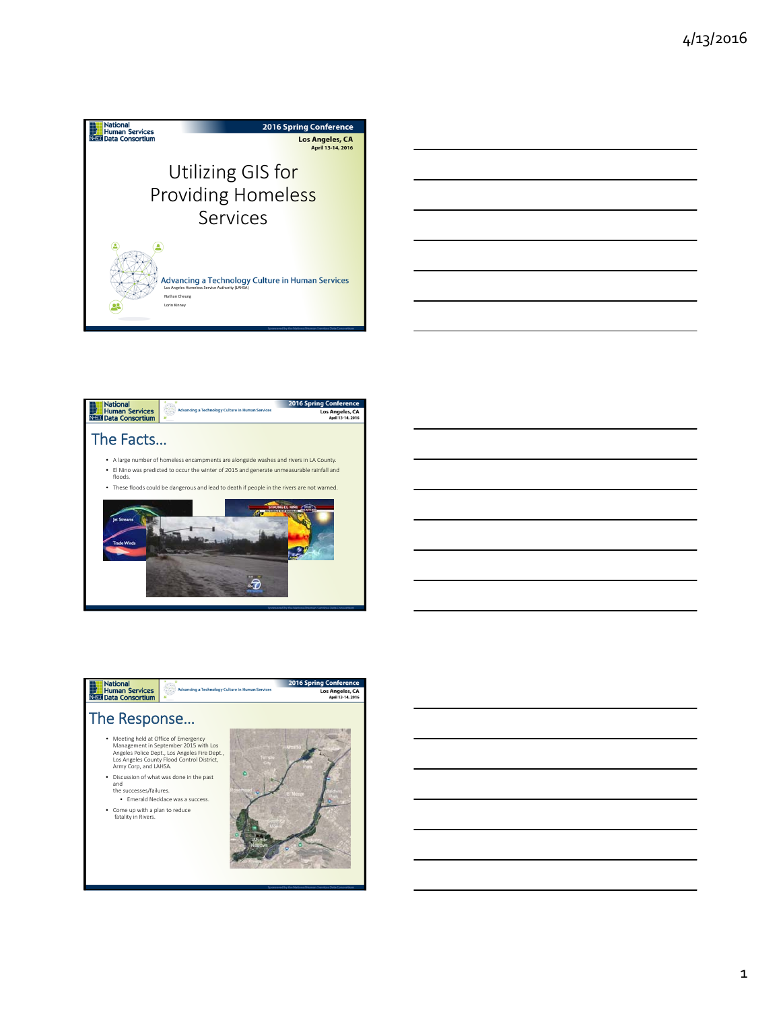







1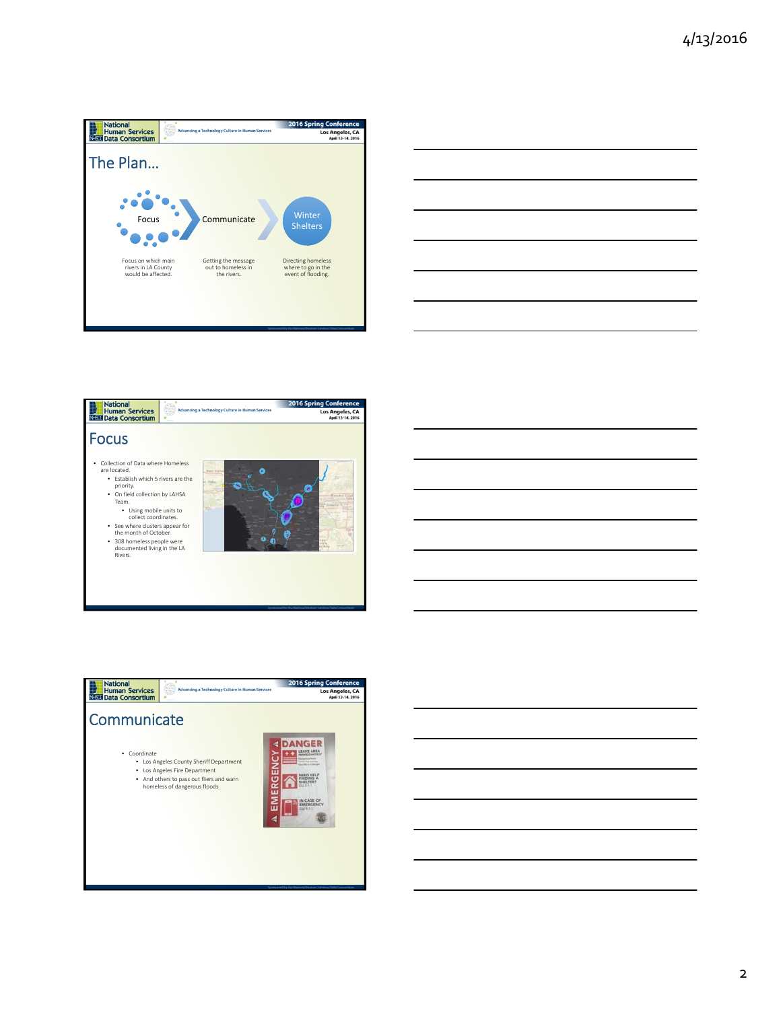





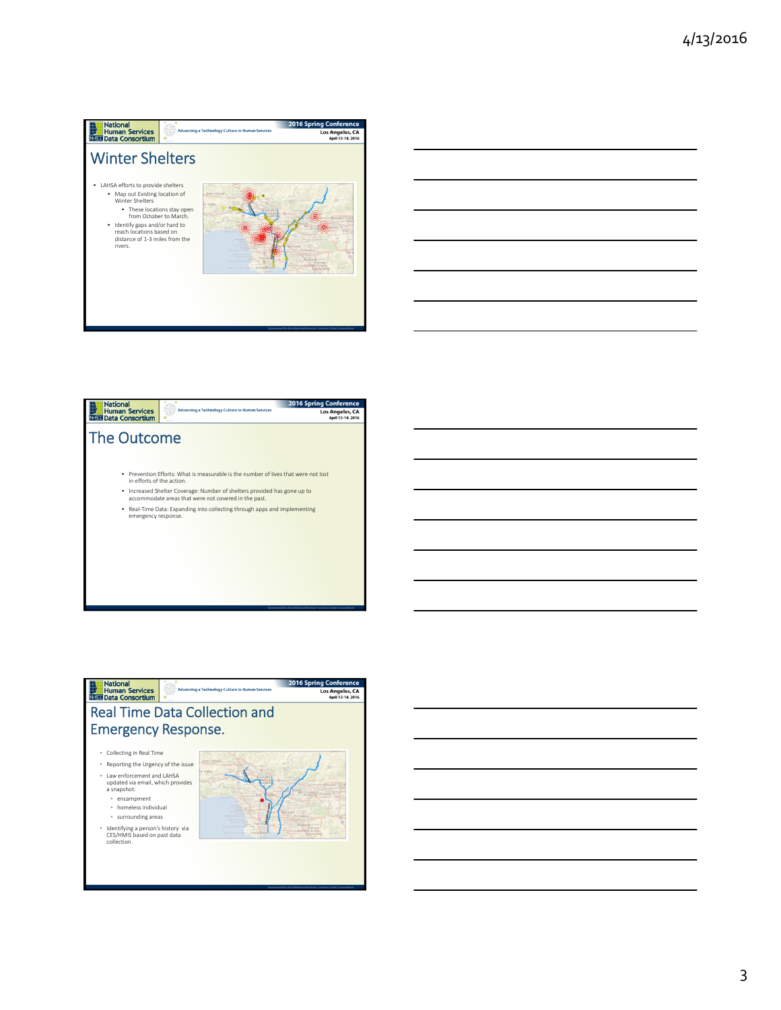





3